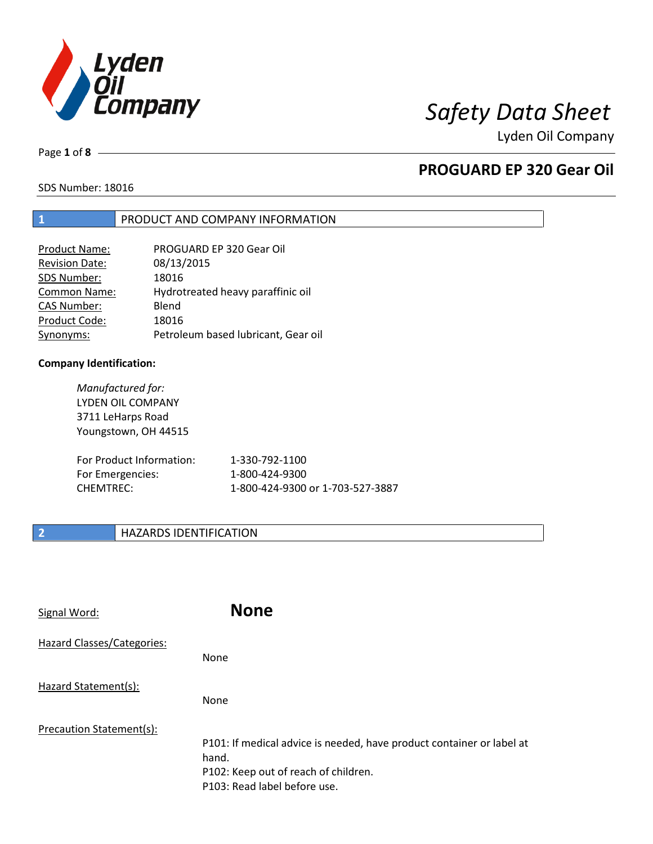

Page **1** of **8**

# **PROGUARD EP 320 Gear Oil**

SDS Number: 18016

## **1** PRODUCT AND COMPANY INFORMATION

| PROGUARD EP 320 Gear Oil            |
|-------------------------------------|
| 08/13/2015                          |
| 18016                               |
| Hydrotreated heavy paraffinic oil   |
| Blend                               |
| 18016                               |
| Petroleum based lubricant, Gear oil |
|                                     |

### **Company Identification:**

*Manufactured for:* LYDEN OIL COMPANY 3711 LeHarps Road Youngstown, OH 44515 For Product Information: 1-330-792-1100 For Emergencies: 1-800-424-9300 CHEMTREC: 1-800-424-9300 or 1-703-527-3887

## **2 HAZARDS IDENTIFICATION**

| Signal Word:               | <b>None</b>                                                                                                                                            |
|----------------------------|--------------------------------------------------------------------------------------------------------------------------------------------------------|
| Hazard Classes/Categories: | None                                                                                                                                                   |
| Hazard Statement(s):       | <b>None</b>                                                                                                                                            |
| Precaution Statement(s):   | P101: If medical advice is needed, have product container or label at<br>hand.<br>P102: Keep out of reach of children.<br>P103: Read label before use. |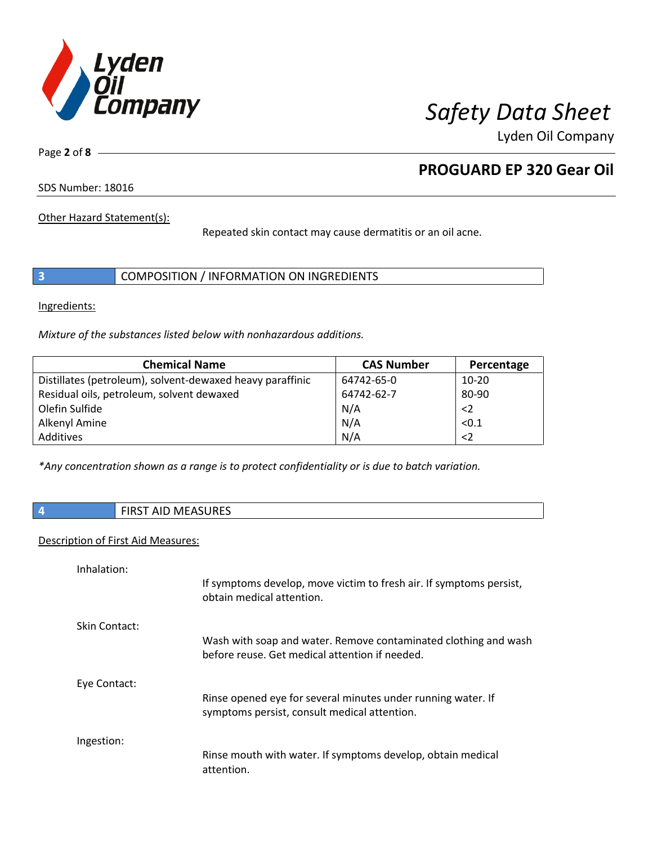

Page **2** of **8**

# **PROGUARD EP 320 Gear Oil**

SDS Number: 18016

Other Hazard Statement(s):

Repeated skin contact may cause dermatitis or an oil acne.

|  | COMPOSITION / INFORMATION ON INGREDIENTS |  |
|--|------------------------------------------|--|
|--|------------------------------------------|--|

Ingredients:

*Mixture of the substances listed below with nonhazardous additions.*

| <b>Chemical Name</b>                                      | <b>CAS Number</b> | Percentage  |
|-----------------------------------------------------------|-------------------|-------------|
| Distillates (petroleum), solvent-dewaxed heavy paraffinic | 64742-65-0        | $10 - 20$   |
| Residual oils, petroleum, solvent dewaxed                 | 64742-62-7        | 80-90       |
| Olefin Sulfide                                            | N/A               | $<$ 2       |
| Alkenyl Amine                                             | N/A               | < 0.1       |
| Additives                                                 | N/A               | $\langle$ 2 |

*\*Any concentration shown as a range is to protect confidentiality or is due to batch variation.*

|  | <b>CIDCT AID MEACHDEC</b><br>AJUREJ<br>ıvı<br>נחו<br>שור<br>. |
|--|---------------------------------------------------------------|
|--|---------------------------------------------------------------|

## Description of First Aid Measures:

| Inhalation:   | If symptoms develop, move victim to fresh air. If symptoms persist,<br>obtain medical attention.                  |
|---------------|-------------------------------------------------------------------------------------------------------------------|
| Skin Contact: | Wash with soap and water. Remove contaminated clothing and wash<br>before reuse. Get medical attention if needed. |
| Eye Contact:  | Rinse opened eye for several minutes under running water. If<br>symptoms persist, consult medical attention.      |
| Ingestion:    | Rinse mouth with water. If symptoms develop, obtain medical<br>attention.                                         |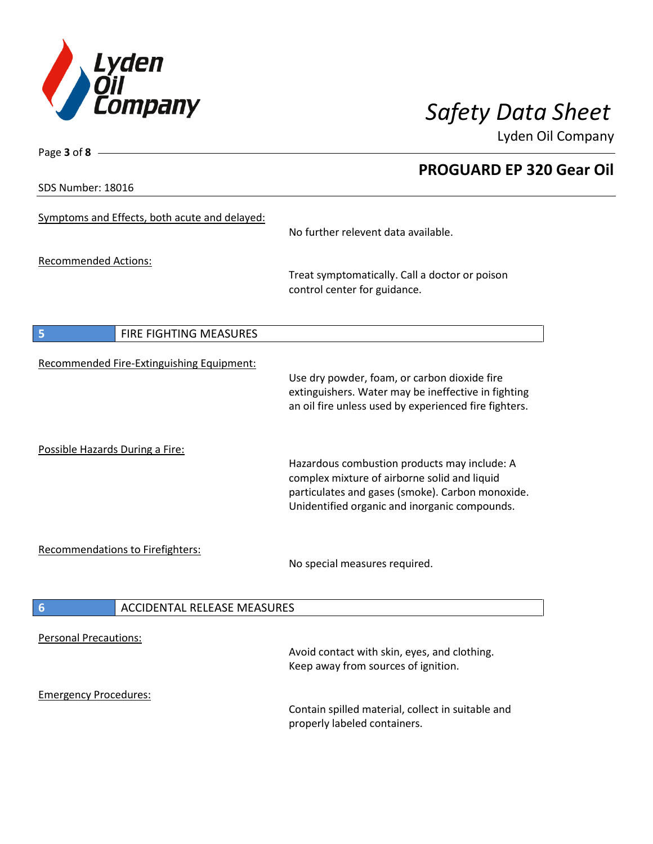

**PROGUARD EP 320 Gear Oil**

Lyden Oil Company

SDS Number: 18016

Page **3** of **8**

| Symptoms and Effects, both acute and delayed:         | No further relevent data available.                                                                                                                                                               |
|-------------------------------------------------------|---------------------------------------------------------------------------------------------------------------------------------------------------------------------------------------------------|
| <b>Recommended Actions:</b>                           | Treat symptomatically. Call a doctor or poison<br>control center for guidance.                                                                                                                    |
| 5<br>FIRE FIGHTING MEASURES                           |                                                                                                                                                                                                   |
| Recommended Fire-Extinguishing Equipment:             | Use dry powder, foam, or carbon dioxide fire<br>extinguishers. Water may be ineffective in fighting<br>an oil fire unless used by experienced fire fighters.                                      |
| Possible Hazards During a Fire:                       | Hazardous combustion products may include: A<br>complex mixture of airborne solid and liquid<br>particulates and gases (smoke). Carbon monoxide.<br>Unidentified organic and inorganic compounds. |
| Recommendations to Firefighters:                      | No special measures required.                                                                                                                                                                     |
| <b>ACCIDENTAL RELEASE MEASURES</b><br>$6\phantom{1}6$ |                                                                                                                                                                                                   |
| <b>Personal Precautions:</b>                          | Avoid contact with skin, eyes, and clothing.<br>Keep away from sources of ignition.                                                                                                               |
| <b>Emergency Procedures:</b>                          |                                                                                                                                                                                                   |
|                                                       | Contain spilled material, collect in suitable and<br>properly labeled containers.                                                                                                                 |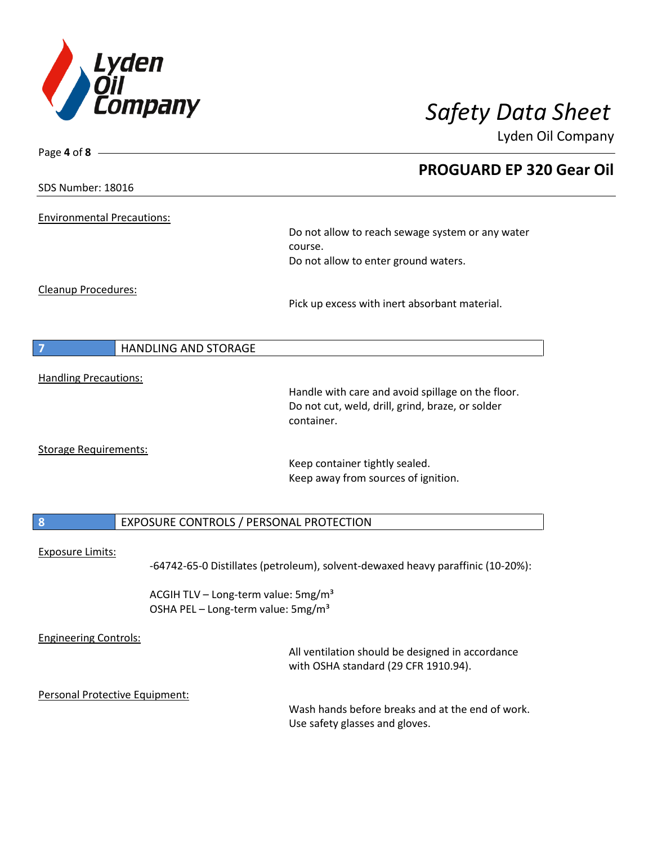

| Page 4 of 8 -                     |                                                                                                                     |
|-----------------------------------|---------------------------------------------------------------------------------------------------------------------|
|                                   | <b>PROGUARD EP 320 Gear Oil</b>                                                                                     |
| SDS Number: 18016                 |                                                                                                                     |
| <b>Environmental Precautions:</b> |                                                                                                                     |
|                                   | Do not allow to reach sewage system or any water                                                                    |
|                                   | course.                                                                                                             |
|                                   | Do not allow to enter ground waters.                                                                                |
| Cleanup Procedures:               |                                                                                                                     |
|                                   | Pick up excess with inert absorbant material.                                                                       |
|                                   |                                                                                                                     |
| HANDLING AND STORAGE<br>7         |                                                                                                                     |
| <b>Handling Precautions:</b>      |                                                                                                                     |
|                                   | Handle with care and avoid spillage on the floor.<br>Do not cut, weld, drill, grind, braze, or solder<br>container. |
|                                   |                                                                                                                     |
| <b>Storage Requirements:</b>      | Keep container tightly sealed.                                                                                      |
|                                   | Keep away from sources of ignition.                                                                                 |
| $\boldsymbol{8}$                  |                                                                                                                     |
|                                   | EXPOSURE CONTROLS / PERSONAL PROTECTION                                                                             |
| <b>Exposure Limits:</b>           | -64742-65-0 Distillates (petroleum), solvent-dewaxed heavy paraffinic (10-20%):                                     |
|                                   | ACGIH TLV - Long-term value: 5mg/m <sup>3</sup><br>OSHA PEL - Long-term value: 5mg/m <sup>3</sup>                   |
|                                   |                                                                                                                     |
| <b>Engineering Controls:</b>      | All ventilation should be designed in accordance                                                                    |
|                                   | with OSHA standard (29 CFR 1910.94).                                                                                |
| Personal Protective Equipment:    |                                                                                                                     |
|                                   | Wash hands before breaks and at the end of work.                                                                    |
|                                   | Use safety glasses and gloves.                                                                                      |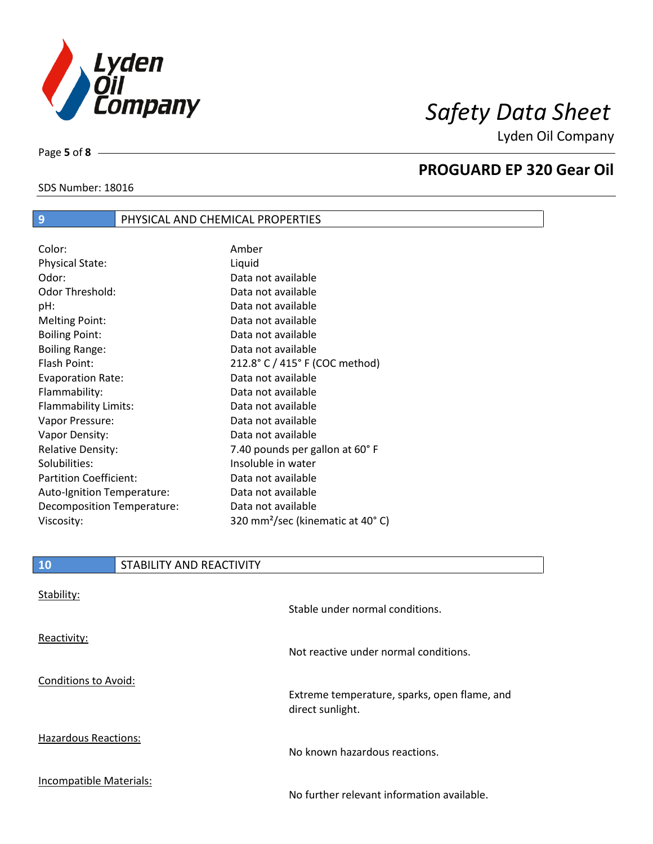

SDS Number: 18016

Page **5** of **8**

## **PROGUARD EP 320 Gear Oil**

| Color:                        | Amber                                        |
|-------------------------------|----------------------------------------------|
| <b>Physical State:</b>        | Liquid                                       |
| Odor:                         | Data not available                           |
| <b>Odor Threshold:</b>        | Data not available                           |
| pH:                           | Data not available                           |
| <b>Melting Point:</b>         | Data not available                           |
| <b>Boiling Point:</b>         | Data not available                           |
| <b>Boiling Range:</b>         | Data not available                           |
| Flash Point:                  | 212.8° C / 415° F (COC method)               |
| <b>Evaporation Rate:</b>      | Data not available                           |
| Flammability:                 | Data not available                           |
| Flammability Limits:          | Data not available                           |
| Vapor Pressure:               | Data not available                           |
| Vapor Density:                | Data not available                           |
| <b>Relative Density:</b>      | 7.40 pounds per gallon at 60°F               |
| Solubilities:                 | Insoluble in water                           |
| <b>Partition Coefficient:</b> | Data not available                           |
| Auto-Ignition Temperature:    | Data not available                           |
| Decomposition Temperature:    | Data not available                           |
| Viscosity:                    | 320 mm <sup>2</sup> /sec (kinematic at 40°C) |
|                               |                                              |

**9** PHYSICAL AND CHEMICAL PROPERTIES

| 10 | STABILITY AND REACTIVITY |
|----|--------------------------|
|    |                          |

| Stability:                  | Stable under normal conditions.                                  |
|-----------------------------|------------------------------------------------------------------|
| Reactivity:                 | Not reactive under normal conditions.                            |
| Conditions to Avoid:        | Extreme temperature, sparks, open flame, and<br>direct sunlight. |
| <b>Hazardous Reactions:</b> | No known hazardous reactions.                                    |
| Incompatible Materials:     | No further relevant information available.                       |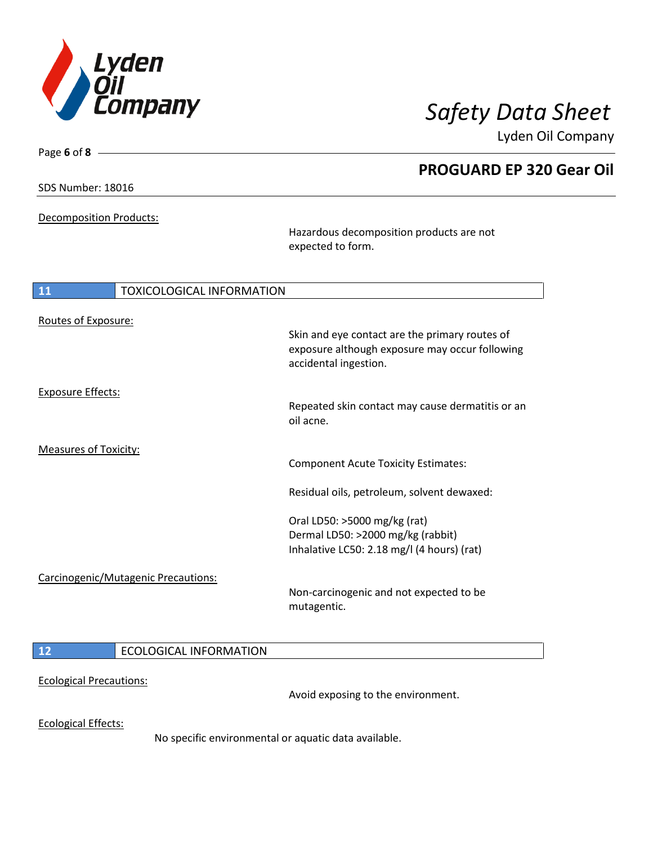

**PROGUARD EP 320 Gear Oil**

Lyden Oil Company

SDS Number: 18016

Page **6** of **8**

Decomposition Products:

Hazardous decomposition products are not expected to form.

| 11                           | <b>TOXICOLOGICAL INFORMATION</b>    |                                                                                                                                                                           |
|------------------------------|-------------------------------------|---------------------------------------------------------------------------------------------------------------------------------------------------------------------------|
| Routes of Exposure:          |                                     | Skin and eye contact are the primary routes of<br>exposure although exposure may occur following<br>accidental ingestion.                                                 |
| <b>Exposure Effects:</b>     |                                     | Repeated skin contact may cause dermatitis or an<br>oil acne.                                                                                                             |
| <b>Measures of Toxicity:</b> |                                     | <b>Component Acute Toxicity Estimates:</b>                                                                                                                                |
|                              |                                     | Residual oils, petroleum, solvent dewaxed:                                                                                                                                |
|                              | Carcinogenic/Mutagenic Precautions: | Oral LD50: >5000 mg/kg (rat)<br>Dermal LD50: >2000 mg/kg (rabbit)<br>Inhalative LC50: 2.18 mg/l (4 hours) (rat)<br>Non-carcinogenic and not expected to be<br>mutagentic. |
| 12                           | <b>ECOLOGICAL INFORMATION</b>       |                                                                                                                                                                           |

Ecological Precautions:

Avoid exposing to the environment.

Ecological Effects:

No specific environmental or aquatic data available.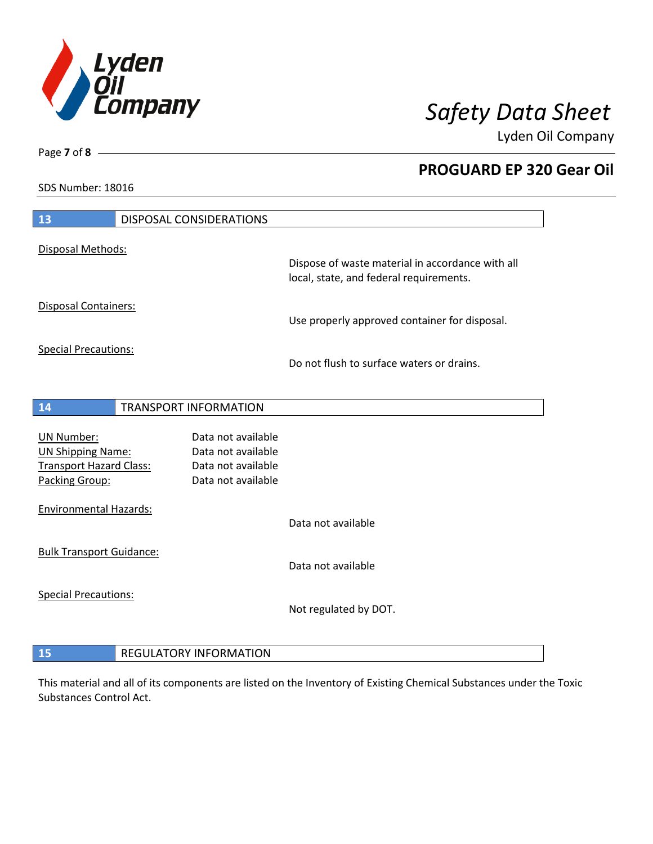

**PROGUARD EP 320 Gear Oil**

Lyden Oil Company

SDS Number: 18016

Page **7** of **8**

| 13                                                                                                | <b>DISPOSAL CONSIDERATIONS</b>                                                       |                                                                                             |
|---------------------------------------------------------------------------------------------------|--------------------------------------------------------------------------------------|---------------------------------------------------------------------------------------------|
| Disposal Methods:                                                                                 |                                                                                      | Dispose of waste material in accordance with all<br>local, state, and federal requirements. |
| <b>Disposal Containers:</b>                                                                       |                                                                                      | Use properly approved container for disposal.                                               |
| <b>Special Precautions:</b>                                                                       |                                                                                      | Do not flush to surface waters or drains.                                                   |
| 14                                                                                                | <b>TRANSPORT INFORMATION</b>                                                         |                                                                                             |
| <b>UN Number:</b><br><b>UN Shipping Name:</b><br><b>Transport Hazard Class:</b><br>Packing Group: | Data not available<br>Data not available<br>Data not available<br>Data not available |                                                                                             |
| <b>Environmental Hazards:</b>                                                                     |                                                                                      | Data not available                                                                          |
| <b>Bulk Transport Guidance:</b>                                                                   |                                                                                      | Data not available                                                                          |
| <b>Special Precautions:</b>                                                                       |                                                                                      | Not regulated by DOT.                                                                       |
|                                                                                                   |                                                                                      |                                                                                             |

**REGULATORY INFORMATION** 

This material and all of its components are listed on the Inventory of Existing Chemical Substances under the Toxic Substances Control Act.